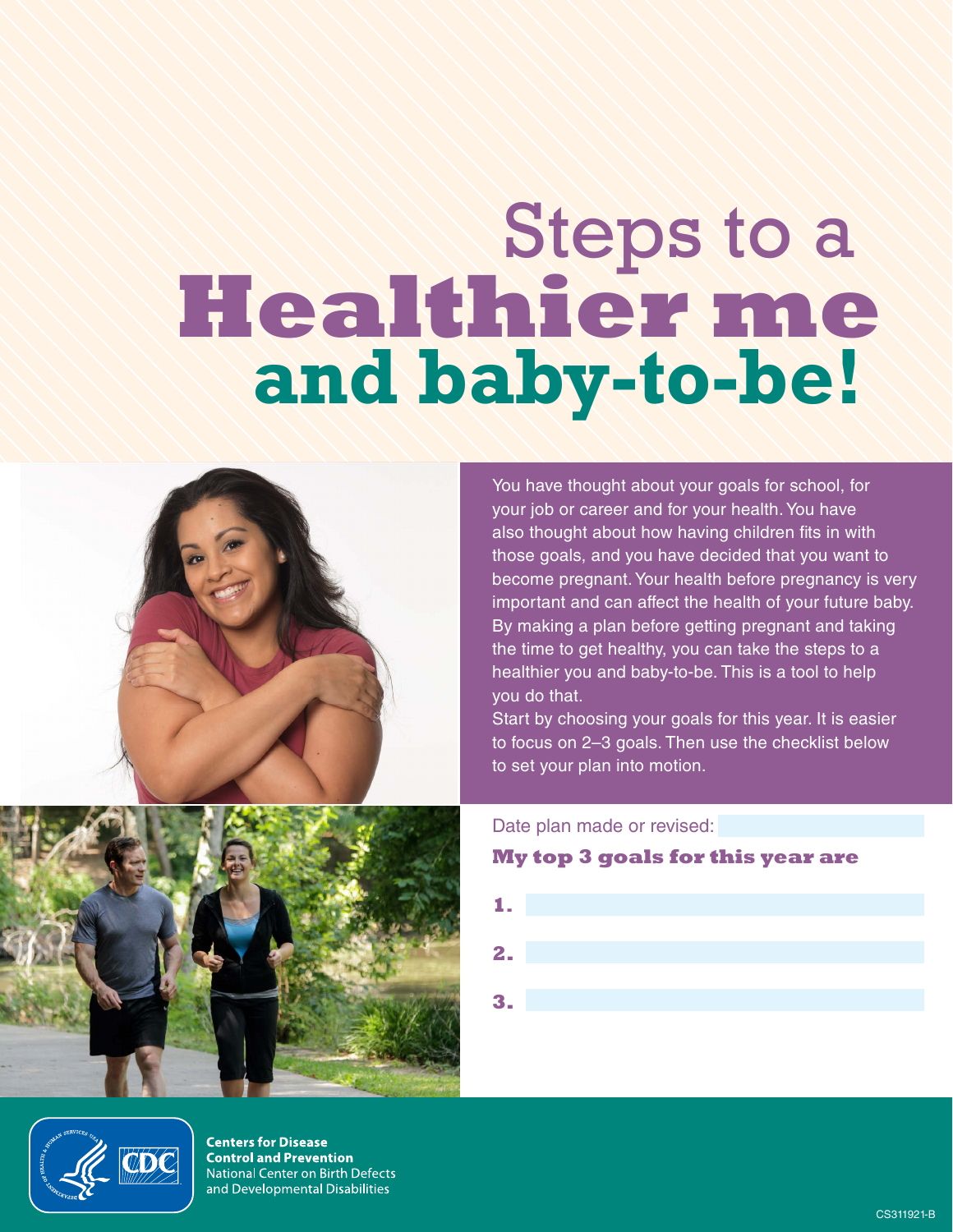# Steps to a **Healthier me and baby-to-be!**



You have thought about your goals for school, for your job or career and for your health. You have also thought about how having children fits in with those goals, and you have decided that you want to become pregnant. Your health before pregnancy is very important and can affect the health of your future baby. By making a plan before getting pregnant and taking the time to get healthy, you can take the steps to a healthier you and baby-to-be. This is a tool to help you do that.

Start by choosing your goals for this year. It is easier to focus on 2–3 goals. Then use the checklist below to set your plan into motion.

Date plan made or revised:

#### **My top 3 goals for this year are**





**Centers for Disease Control and Prevention** National Center on Birth Defects and Developmental Disabilities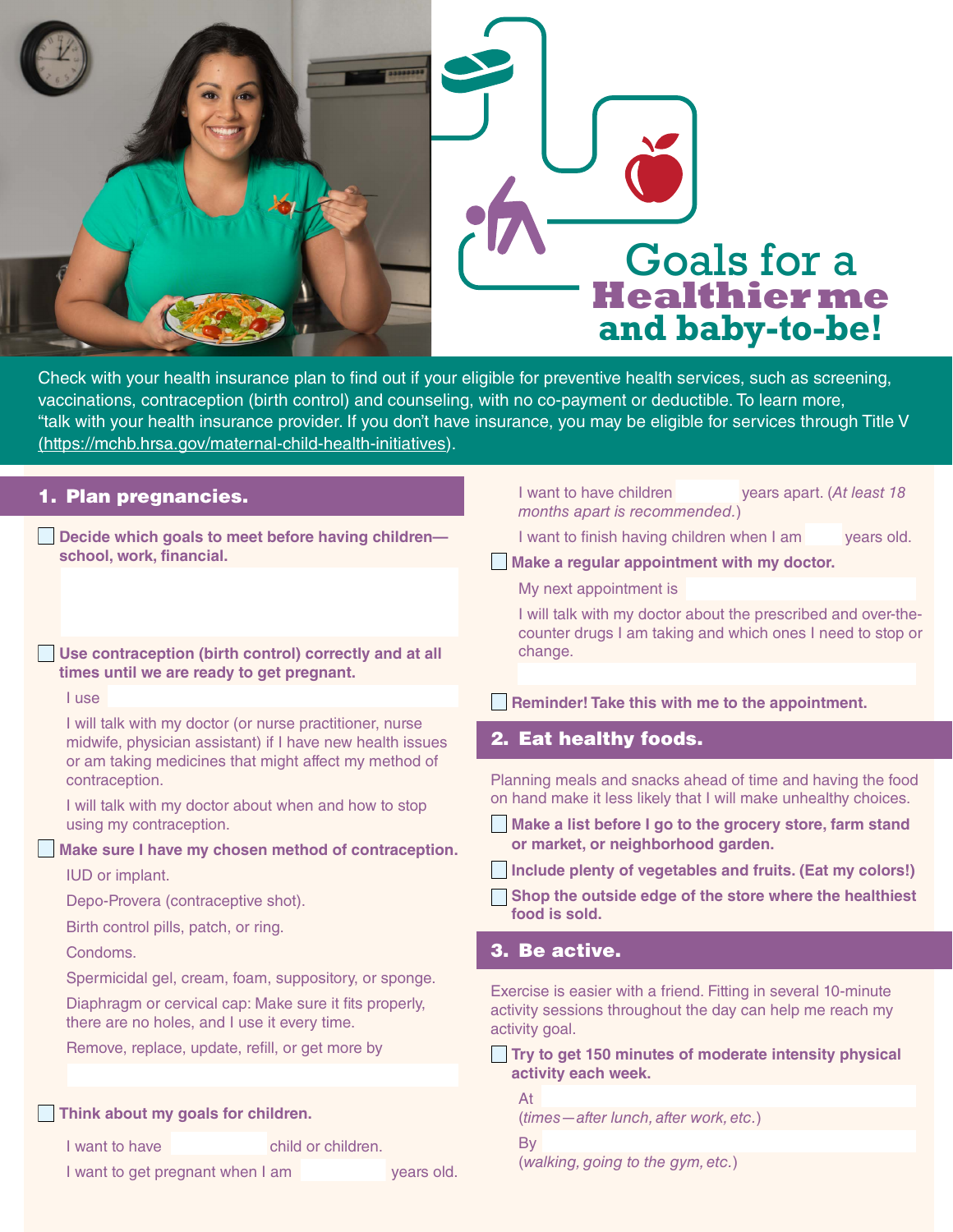



Check with your health insurance plan to find out if your eligible for preventive health services, such as screening, vaccinations, contraception (birth control) and counseling, with no co-payment or deductible. To learn more, "talk with your health insurance provider. If you don't have insurance, you may be eligible for services through Title V [\(https://mchb.hrsa.gov/maternal-child-health-initiatives\)](https://mchb.hrsa.gov/maternal-child-health-initiatives).

| 1. Plan pregnancies.                                                                                                                                                           |                    |  | I want to have children<br>years apart. (At least 18<br>months apart is recommended.)                                                         |  |
|--------------------------------------------------------------------------------------------------------------------------------------------------------------------------------|--------------------|--|-----------------------------------------------------------------------------------------------------------------------------------------------|--|
| Decide which goals to meet before having children-<br>school, work, financial.                                                                                                 |                    |  | I want to finish having children when I am<br>years old.<br>Make a regular appointment with my doctor.                                        |  |
|                                                                                                                                                                                |                    |  | My next appointment is<br>I will talk with my doctor about the prescribed and over-the-                                                       |  |
| Use contraception (birth control) correctly and at all<br>times until we are ready to get pregnant.                                                                            |                    |  | counter drugs I am taking and which ones I need to stop or<br>change.                                                                         |  |
| I use                                                                                                                                                                          |                    |  | Reminder! Take this with me to the appointment.                                                                                               |  |
| I will talk with my doctor (or nurse practitioner, nurse<br>midwife, physician assistant) if I have new health issues<br>or am taking medicines that might affect my method of |                    |  | 2. Eat healthy foods.                                                                                                                         |  |
| contraception.                                                                                                                                                                 |                    |  | Planning meals and snacks ahead of time and having the food                                                                                   |  |
| I will talk with my doctor about when and how to stop<br>using my contraception.                                                                                               |                    |  | on hand make it less likely that I will make unhealthy choices.<br>Make a list before I go to the grocery store, farm stand                   |  |
| Make sure I have my chosen method of contraception.                                                                                                                            |                    |  | or market, or neighborhood garden.                                                                                                            |  |
| IUD or implant.                                                                                                                                                                |                    |  | Include plenty of vegetables and fruits. (Eat my colors!)                                                                                     |  |
| Depo-Provera (contraceptive shot).                                                                                                                                             |                    |  | Shop the outside edge of the store where the healthiest<br>food is sold.                                                                      |  |
| Birth control pills, patch, or ring.                                                                                                                                           |                    |  |                                                                                                                                               |  |
| Condoms.                                                                                                                                                                       |                    |  | 3. Be active.                                                                                                                                 |  |
| Spermicidal gel, cream, foam, suppository, or sponge.<br>Diaphragm or cervical cap: Make sure it fits properly,<br>there are no holes, and I use it every time.                |                    |  | Exercise is easier with a friend. Fitting in several 10-minute<br>activity sessions throughout the day can help me reach my<br>activity goal. |  |
| Remove, replace, update, refill, or get more by                                                                                                                                |                    |  | Try to get 150 minutes of moderate intensity physical                                                                                         |  |
|                                                                                                                                                                                |                    |  | activity each week.                                                                                                                           |  |
| Think about my goals for children.                                                                                                                                             |                    |  | At<br>(times - after lunch, after work, etc.)                                                                                                 |  |
| I want to have                                                                                                                                                                 | child or children. |  | By                                                                                                                                            |  |
| I want to get pregnant when I am<br>years old.                                                                                                                                 |                    |  | (walking, going to the gym, etc.)                                                                                                             |  |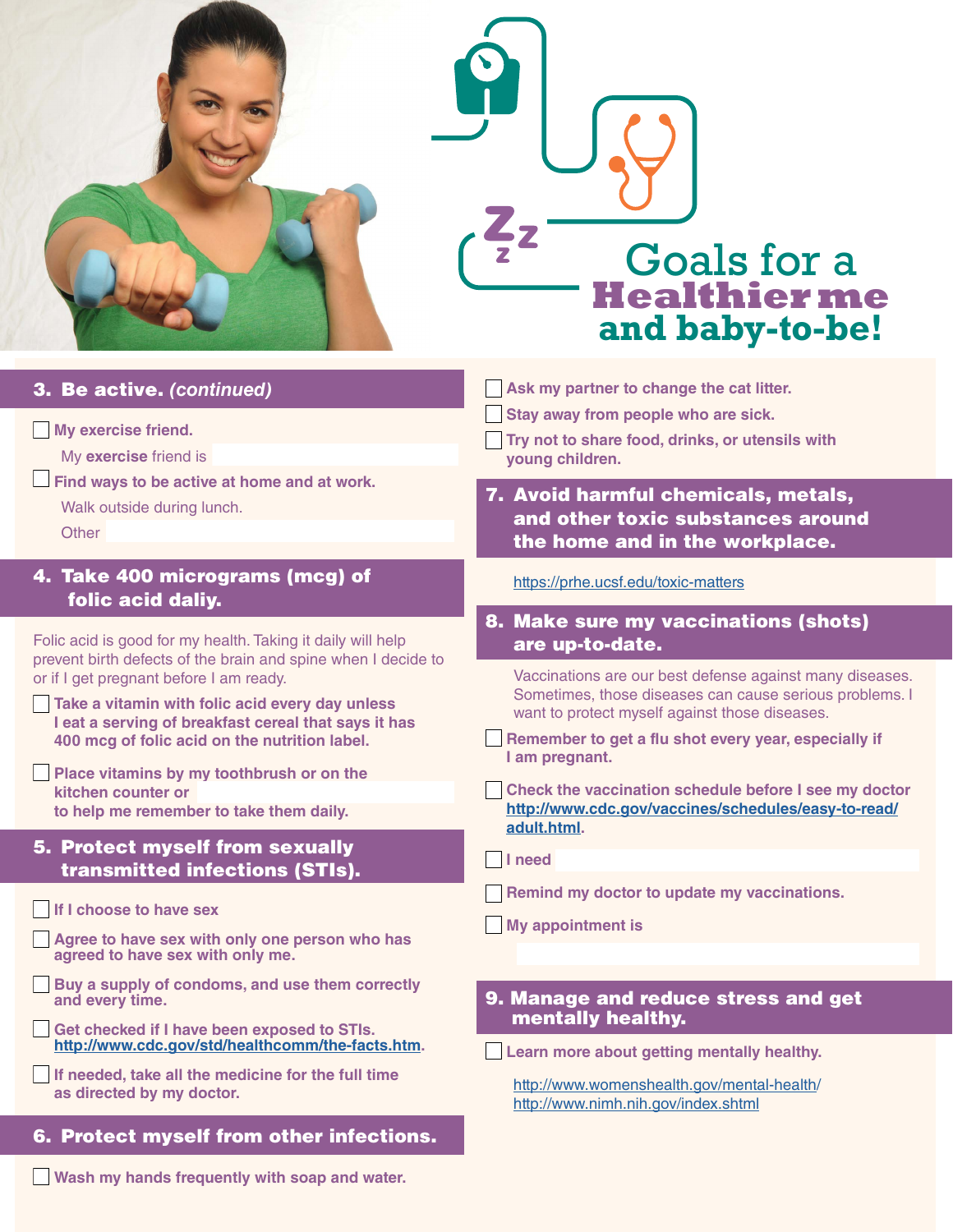

# Goals for a **Healthierme and baby-to-be!**

# 3. Be active. *(continued)*

#### **My exercise friend.**

My **exercise** friend is

**Find ways to be active at home and at work.** 

Walk outside during lunch.

**Other** 

### 4. Take 400 micrograms (mcg) of folic acid daliy.

Folic acid is good for my health. Taking it daily will help prevent birth defects of the brain and spine when I decide to or if I get pregnant before I am ready.

- **Take a vitamin with folic acid every day unless I eat a serving of breakfast cereal that says it has 400 mcg of folic acid on the nutrition label.**
- **Place vitamins by my toothbrush or on the kitchen counter or to help me remember to take them daily.**

#### 5. Protect myself from sexually transmitted infections (STIs).

#### **If I choose to have sex**

**Agree to have sex with only one person who has agreed to have sex with only me.** 

- **Buy a supply of condoms, and use them correctly and every time.**
- **Get checked if I have been exposed to STIs. [http://www.cdc.gov/std/healthcomm/the-facts.htm.](http://www.cdc.gov/std/healthcomm/the-facts.htm)**

**If needed, take all the medicine for the full time as directed by my doctor.**

# 6. Protect myself from other infections..

**Wash my hands frequently with soap and water.** 

**Ask my partner to change the cat litter.** 

**Stay away from people who are sick.** 

- **Try not to share food, drinks, or utensils with young children.**
- 7. Avoid harmful chemicals, metals, and other toxic substances around the home and in the workplace.

<https://prhe.ucsf.edu/toxic-matters>

8. Make sure my vaccinations (shots) are up-to-date.

Vaccinations are our best defense against many diseases. Sometimes, those diseases can cause serious problems. I want to protect myself against those diseases.

- **Remember to get a flu shot every year, especially if I am pregnant.**
- **Check the vaccination schedule before I see my doctor [http://www.cdc.gov/vaccines/schedules/easy-to-read/](https://www.cdc.gov/vaccines/schedules/hcp/imz/adult.html?CDC_AA_refVal=https%3A%2F%2Fwww.cdc.gov%2Fvaccines%2Fschedules%2Feasy-to-read%2Fadult.html) [adult.html](https://www.cdc.gov/vaccines/schedules/hcp/imz/adult.html?CDC_AA_refVal=https%3A%2F%2Fwww.cdc.gov%2Fvaccines%2Fschedules%2Feasy-to-read%2Fadult.html).**

**I need** 

- **Remind my doctor to update my vaccinations.**
- **My appointment is**

#### 9. Manage and reduce stress and get mentally healthy.

**Learn more about getting mentally healthy.** 

[http://www.womenshealth.gov/mental-health/](http://www.womenshealth.gov/mental-health) <http://www.nimh.nih.gov/index.shtml>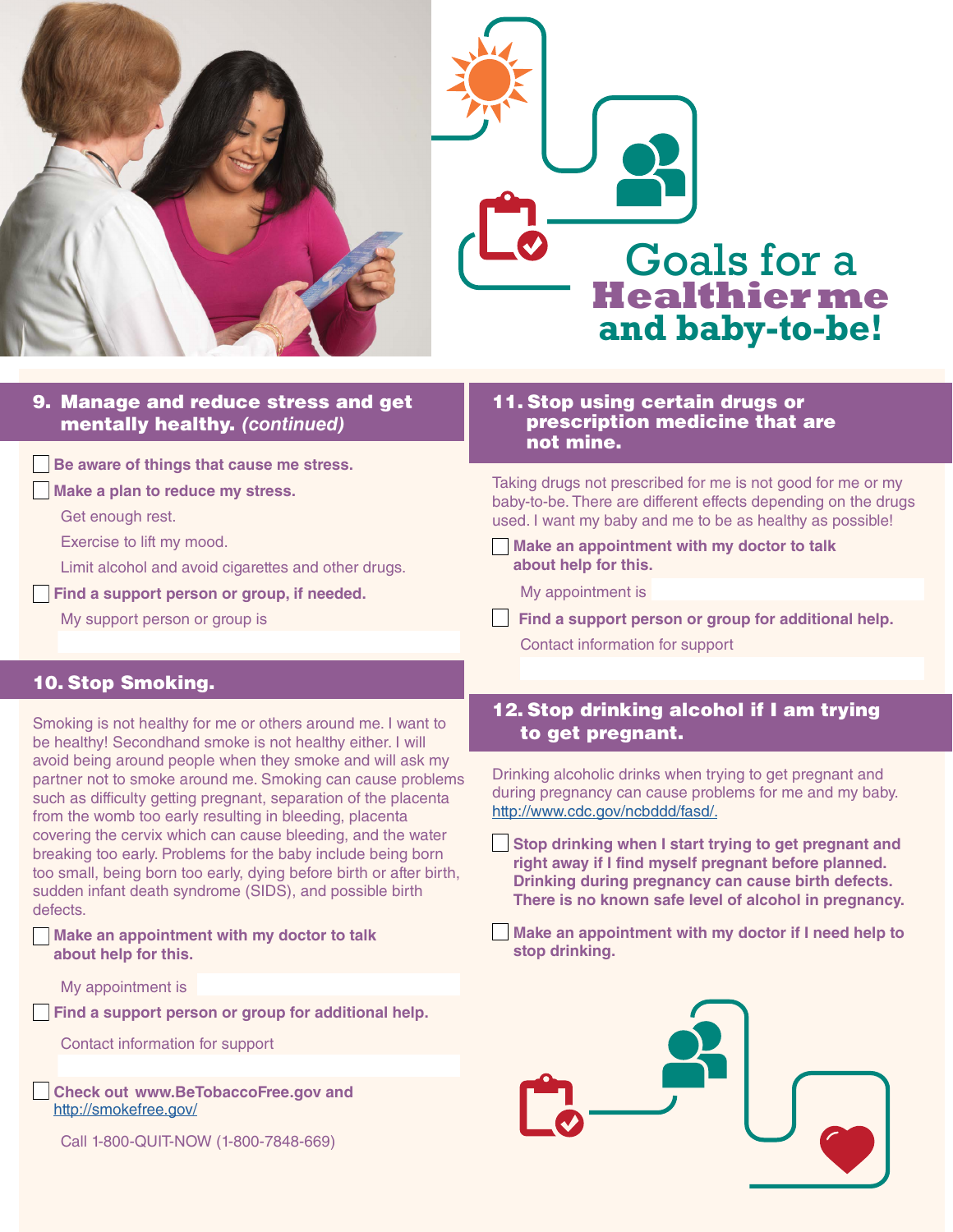



#### 9. Manage and reduce stress and get mentally healthy. *(continued)*

**Be aware of things that cause me stress.** 

**Make a plan to reduce my stress.** 

Get enough rest.

Exercise to lift my mood.

Limit alcohol and avoid cigarettes and other drugs.

**Find a support person or group, if needed.** 

My support person or group is

#### 11. Stop using certain drugs or prescription medicine that are not mine.

Taking drugs not prescribed for me is not good for me or my baby-to-be. There are different effects depending on the drugs used. I want my baby and me to be as healthy as possible!

**Make an appointment with my doctor to talk about help for this.** 

My appointment is

**Find a support person or group for additional help.** Contact information for support

#### 10. Stop Smoking.

Smoking is not healthy for me or others around me. I want to be healthy! Secondhand smoke is not healthy either. I will avoid being around people when they smoke and will ask my partner not to smoke around me. Smoking can cause problems such as difficulty getting pregnant, separation of the placenta from the womb too early resulting in bleeding, placenta covering the cervix which can cause bleeding, and the water breaking too early. Problems for the baby include being born too small, being born too early, dying before birth or after birth, sudden infant death syndrome (SIDS), and possible birth defects.

**Make an appointment with my doctor to talk about help for this.** 

My appointment is

**Find a support person or group for additional help.** 

Contact information for support

**Check out www.BeTobaccoFree.gov and**  <http://smokefree.gov/>

Call 1-800-QUIT-NOW (1-800-7848-669)

# 12. Stop drinking alcohol if I am trying to get pregnant.

Drinking alcoholic drinks when trying to get pregnant and during pregnancy can cause problems for me and my baby. <http://www.cdc.gov/ncbddd/fasd/.>

- **Stop drinking when I start trying to get pregnant and right away if I find myself pregnant before planned. Drinking during pregnancy can cause birth defects. There is no known safe level of alcohol in pregnancy.**
- **Make an appointment with my doctor if I need help to stop drinking.**